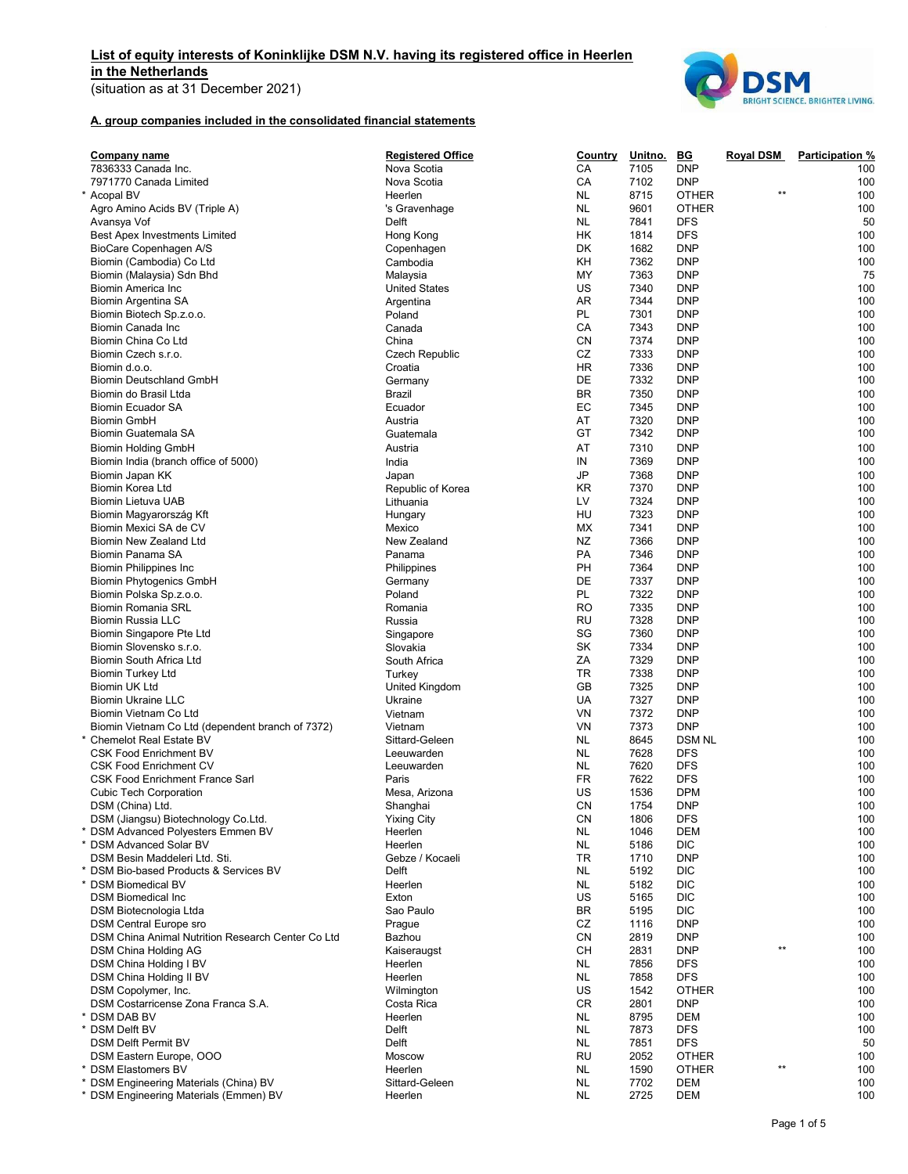# List of equity interests of Koninklijke DSM N.V. having its registered office in Heerlen in the Netherlands

(situation as at 31 December 2021)



## A. group companies included in the consolidated financial statements

| Company name                                      | <b>Registered Office</b> | <b>Country</b> | Unitno. | $\underline{\mathbf{B}\mathbf{G}}$ | Royal DSM       | <b>Participation %</b> |
|---------------------------------------------------|--------------------------|----------------|---------|------------------------------------|-----------------|------------------------|
| 7836333 Canada Inc.                               | Nova Scotia              | СA             | 7105    | <b>DNP</b>                         |                 | 100                    |
| 7971770 Canada Limited                            | Nova Scotia              | СA             | 7102    | <b>DNP</b>                         |                 | 100                    |
| * Acopal BV                                       | Heerlen                  | <b>NL</b>      | 8715    | <b>OTHER</b>                       | $***$           | 100                    |
| Agro Amino Acids BV (Triple A)                    | 's Gravenhage            | NL             | 9601    | <b>OTHER</b>                       |                 | 100                    |
| Avansya Vof                                       | Delft                    | <b>NL</b>      | 7841    | <b>DFS</b>                         |                 | 50                     |
| <b>Best Apex Investments Limited</b>              | Hong Kong                | НK             | 1814    | <b>DFS</b>                         |                 | 100                    |
| BioCare Copenhagen A/S                            | Copenhagen               | DK             | 1682    | <b>DNP</b>                         |                 | 100                    |
| Biomin (Cambodia) Co Ltd                          | Cambodia                 | KH             | 7362    | <b>DNP</b>                         |                 | 100                    |
| Biomin (Malaysia) Sdn Bhd                         | Malaysia                 | MY             | 7363    | <b>DNP</b>                         |                 | 75                     |
| Biomin America Inc                                | <b>United States</b>     | US             | 7340    | <b>DNP</b>                         |                 | 100                    |
| Biomin Argentina SA                               | Argentina                | AR             | 7344    | <b>DNP</b>                         |                 | 100                    |
| Biomin Biotech Sp.z.o.o.                          | Poland                   | PL             | 7301    | <b>DNP</b>                         |                 | 100                    |
| Biomin Canada Inc                                 | Canada                   | СA             | 7343    | <b>DNP</b>                         |                 | 100                    |
| Biomin China Co Ltd                               | China                    | CΝ             | 7374    | <b>DNP</b>                         |                 | 100                    |
| Biomin Czech s.r.o.                               | <b>Czech Republic</b>    | CZ             | 7333    | <b>DNP</b>                         |                 | 100                    |
| Biomin d.o.o.                                     | Croatia                  | ΗR             | 7336    | <b>DNP</b>                         |                 | 100                    |
| <b>Biomin Deutschland GmbH</b>                    | Germany                  | DE             | 7332    | <b>DNP</b>                         |                 | 100                    |
| Biomin do Brasil Ltda                             | <b>Brazil</b>            | BR             | 7350    | <b>DNP</b>                         |                 | 100                    |
| <b>Biomin Ecuador SA</b>                          | Ecuador                  | ЕC             | 7345    | <b>DNP</b>                         |                 | 100                    |
| <b>Biomin GmbH</b>                                | Austria                  | AT             | 7320    | <b>DNP</b>                         |                 | 100                    |
| Biomin Guatemala SA                               | Guatemala                | GT             | 7342    | <b>DNP</b>                         |                 | 100                    |
| <b>Biomin Holding GmbH</b>                        | Austria                  | AT             | 7310    | <b>DNP</b>                         |                 | 100                    |
|                                                   |                          |                |         |                                    |                 |                        |
| Biomin India (branch office of 5000)              | India                    | IN             | 7369    | <b>DNP</b>                         |                 | 100                    |
| Biomin Japan KK                                   | Japan                    | JP             | 7368    | <b>DNP</b>                         |                 | 100                    |
| Biomin Korea Ltd                                  | Republic of Korea        | KR             | 7370    | <b>DNP</b>                         |                 | 100                    |
| Biomin Lietuva UAB                                | Lithuania                | LV             | 7324    | <b>DNP</b>                         |                 | 100                    |
| Biomin Magyarország Kft                           | Hungary                  | HU             | 7323    | <b>DNP</b>                         |                 | 100                    |
| Biomin Mexici SA de CV                            | Mexico                   | МX             | 7341    | <b>DNP</b>                         |                 | 100                    |
| <b>Biomin New Zealand Ltd</b>                     | New Zealand              | ΝZ             | 7366    | <b>DNP</b>                         |                 | 100                    |
| Biomin Panama SA                                  | Panama                   | PA             | 7346    | <b>DNP</b>                         |                 | 100                    |
| <b>Biomin Philippines Inc.</b>                    | Philippines              | PH             | 7364    | <b>DNP</b>                         |                 | 100                    |
| <b>Biomin Phytogenics GmbH</b>                    | Germany                  | DE             | 7337    | <b>DNP</b>                         |                 | 100                    |
| Biomin Polska Sp.z.o.o.                           | Poland                   | <b>PL</b>      | 7322    | <b>DNP</b>                         |                 | 100                    |
| Biomin Romania SRL                                | Romania                  | RO             | 7335    | <b>DNP</b>                         |                 | 100                    |
| Biomin Russia LLC                                 | Russia                   | <b>RU</b>      | 7328    | <b>DNP</b>                         |                 | 100                    |
| Biomin Singapore Pte Ltd                          | Singapore                | SG             | 7360    | <b>DNP</b>                         |                 | 100                    |
| Biomin Slovensko s.r.o.                           | Slovakia                 | SK             | 7334    | <b>DNP</b>                         |                 | 100                    |
| Biomin South Africa Ltd                           | South Africa             | ΖA             | 7329    | <b>DNP</b>                         |                 | 100                    |
| <b>Biomin Turkey Ltd</b>                          | Turkey                   | TR             | 7338    | <b>DNP</b>                         |                 | 100                    |
| Biomin UK Ltd                                     | United Kingdom           | GВ             | 7325    | <b>DNP</b>                         |                 | 100                    |
| <b>Biomin Ukraine LLC</b>                         | Ukraine                  | UA             | 7327    | <b>DNP</b>                         |                 | 100                    |
| Biomin Vietnam Co Ltd                             | Vietnam                  | VN             | 7372    | <b>DNP</b>                         |                 | 100                    |
| Biomin Vietnam Co Ltd (dependent branch of 7372)  | Vietnam                  | VN             | 7373    | <b>DNP</b>                         |                 | 100                    |
| * Chemelot Real Estate BV                         | Sittard-Geleen           | NL             | 8645    | <b>DSM NL</b>                      |                 | 100                    |
| <b>CSK Food Enrichment BV</b>                     | Leeuwarden               | <b>NL</b>      | 7628    | <b>DFS</b>                         |                 | 100                    |
| <b>CSK Food Enrichment CV</b>                     | Leeuwarden               | NL             | 7620    | <b>DFS</b>                         |                 | 100                    |
| <b>CSK Food Enrichment France Sarl</b>            | Paris                    | FR             | 7622    | <b>DFS</b>                         |                 | 100                    |
| <b>Cubic Tech Corporation</b>                     | Mesa, Arizona            | US             | 1536    | <b>DPM</b>                         |                 | 100                    |
| DSM (China) Ltd.                                  | Shanghai                 | CN             | 1754    | <b>DNP</b>                         |                 | 100                    |
| DSM (Jiangsu) Biotechnology Co.Ltd.               | <b>Yixing City</b>       | CN             | 1806    | <b>DFS</b>                         |                 | 100                    |
| * DSM Advanced Polyesters Emmen BV                | Heerlen                  | <b>NL</b>      | 1046    | <b>DEM</b>                         |                 | 100                    |
| * DSM Advanced Solar BV                           | Heerlen                  | <b>NL</b>      | 5186    | <b>DIC</b>                         |                 | 100                    |
| DSM Besin Maddeleri Ltd. Sti.                     | Gebze / Kocaeli          | TR             | 1710    | <b>DNP</b>                         |                 | 100                    |
| * DSM Bio-based Products & Services BV            | Delft                    | <b>NL</b>      | 5192    | <b>DIC</b>                         |                 | 100                    |
| * DSM Biomedical BV                               | Heerlen                  | <b>NL</b>      | 5182    | <b>DIC</b>                         |                 | 100                    |
| <b>DSM Biomedical Inc</b>                         | Exton                    | US             | 5165    | <b>DIC</b>                         |                 | 100                    |
|                                                   | Sao Paulo                | BR             | 5195    | <b>DIC</b>                         |                 |                        |
| DSM Biotecnologia Ltda                            |                          | CZ             |         |                                    |                 | 100<br>100             |
| <b>DSM Central Europe sro</b>                     | Prague                   |                | 1116    | <b>DNP</b>                         |                 |                        |
| DSM China Animal Nutrition Research Center Co Ltd | Bazhou                   | CN             | 2819    | <b>DNP</b>                         | $^{\star\star}$ | 100                    |
| DSM China Holding AG                              | Kaiseraugst              | CН             | 2831    | <b>DNP</b>                         |                 | 100                    |
| DSM China Holding I BV                            | Heerlen                  | NL             | 7856    | <b>DFS</b>                         |                 | 100                    |
| DSM China Holding II BV                           | Heerlen                  | NL             | 7858    | <b>DFS</b>                         |                 | 100                    |
| DSM Copolymer, Inc.                               | Wilmington               | US             | 1542    | <b>OTHER</b>                       |                 | 100                    |
| DSM Costarricense Zona Franca S.A.                | Costa Rica               | CR             | 2801    | <b>DNP</b>                         |                 | 100                    |
| * DSM DAB BV                                      | Heerlen                  | <b>NL</b>      | 8795    | DEM                                |                 | 100                    |
| * DSM Delft BV                                    | Delft                    | <b>NL</b>      | 7873    | <b>DFS</b>                         |                 | 100                    |
| DSM Delft Permit BV                               | Delft                    | <b>NL</b>      | 7851    | <b>DFS</b>                         |                 | 50                     |
| DSM Eastern Europe, OOO                           | Moscow                   | RU             | 2052    | <b>OTHER</b>                       |                 | 100                    |
| * DSM Elastomers BV                               | Heerlen                  | <b>NL</b>      | 1590    | <b>OTHER</b>                       | $***$           | 100                    |
| * DSM Engineering Materials (China) BV            | Sittard-Geleen           | <b>NL</b>      | 7702    | <b>DEM</b>                         |                 | 100                    |
| * DSM Engineering Materials (Emmen) BV            | Heerlen                  | <b>NL</b>      | 2725    | DEM                                |                 | 100                    |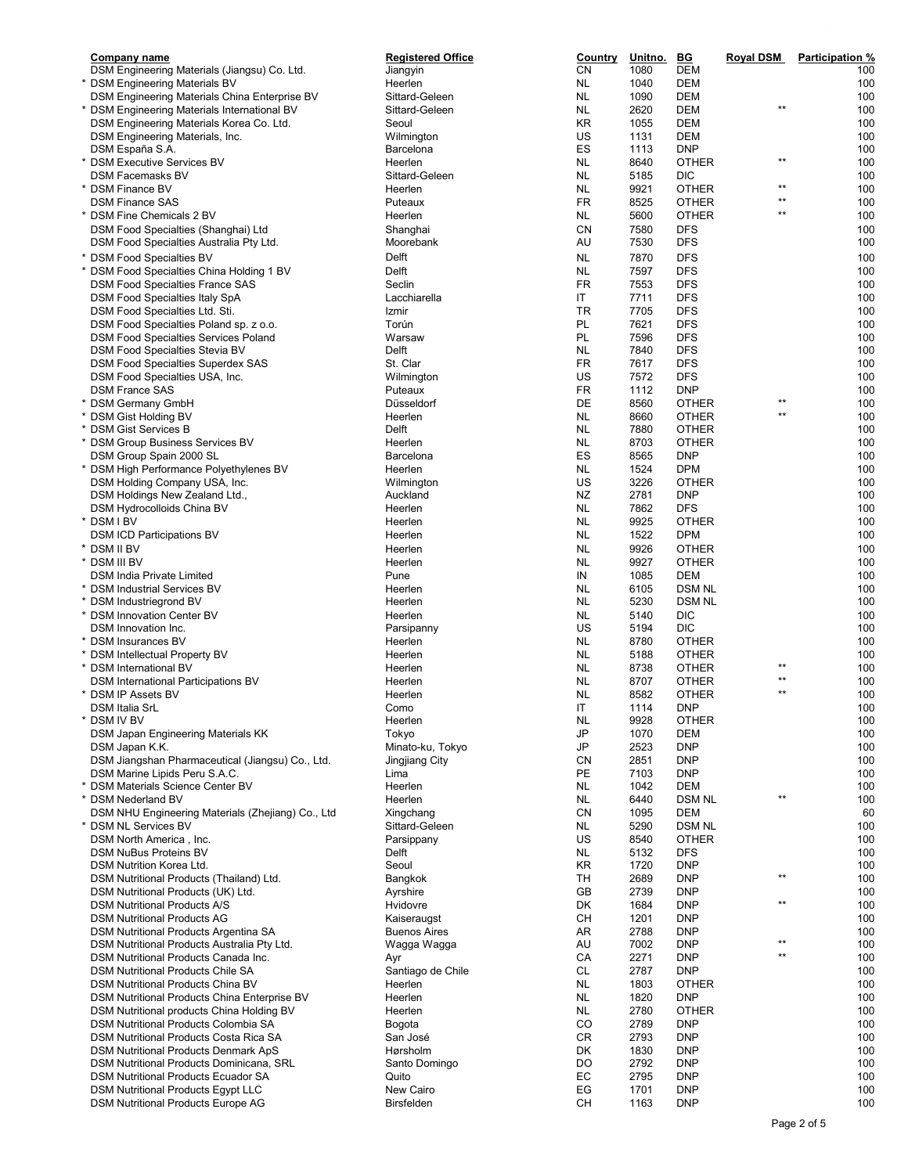| Company name                                      | <b>Registered Office</b> | Country       | <u>Unitno.</u> | <u>BG</u>     | <b>Royal DSM</b> | Participation % |
|---------------------------------------------------|--------------------------|---------------|----------------|---------------|------------------|-----------------|
| DSM Engineering Materials (Jiangsu) Co. Ltd.      | Jiangyin                 | <b>CN</b>     | 1080           | <b>DEM</b>    |                  | 100             |
| * DSM Engineering Materials BV                    | Heerlen                  | NL.           | 1040           | <b>DEM</b>    |                  | 100             |
| DSM Engineering Materials China Enterprise BV     | Sittard-Geleen           | NL.           | 1090           | <b>DEM</b>    |                  | 100             |
| * DSM Engineering Materials International BV      | Sittard-Geleen           | NL.           | 2620           | <b>DEM</b>    | $**$             | 100             |
| DSM Engineering Materials Korea Co. Ltd.          | Seoul                    | KR            | 1055           | <b>DEM</b>    |                  | 100             |
| DSM Engineering Materials, Inc.                   | Wilmington               | US            | 1131           | <b>DEM</b>    |                  | 100             |
| DSM España S.A.                                   | Barcelona                | ES            | 1113           | <b>DNP</b>    |                  | 100             |
| * DSM Executive Services BV                       | Heerlen                  | NL            | 8640           | <b>OTHER</b>  | $***$            | 100             |
| <b>DSM Facemasks BV</b>                           | Sittard-Geleen           | NL            | 5185           | <b>DIC</b>    |                  | 100             |
| * DSM Finance BV                                  | Heerlen                  | NL            | 9921           | <b>OTHER</b>  | $***$            | 100             |
|                                                   |                          |               |                |               | $\star\star$     |                 |
| <b>DSM Finance SAS</b>                            | Puteaux                  | FR            | 8525           | <b>OTHER</b>  | $\star\star$     | 100             |
| * DSM Fine Chemicals 2 BV                         | Heerlen                  | NL.           | 5600           | <b>OTHER</b>  |                  | 100             |
| DSM Food Specialties (Shanghai) Ltd               | Shanghai                 | CN            | 7580           | <b>DFS</b>    |                  | 100             |
| DSM Food Specialties Australia Pty Ltd.           | Moorebank                | AU            | 7530           | <b>DFS</b>    |                  | 100             |
| * DSM Food Specialties BV                         | Delft                    | <b>NL</b>     | 7870           | <b>DFS</b>    |                  | 100             |
| * DSM Food Specialties China Holding 1 BV         | Delft                    | <b>NL</b>     | 7597           | <b>DFS</b>    |                  | 100             |
| <b>DSM Food Specialties France SAS</b>            | Seclin                   | <b>FR</b>     | 7553           | <b>DFS</b>    |                  | 100             |
|                                                   | Lacchiarella             | IT            | 7711           | <b>DFS</b>    |                  | 100             |
| DSM Food Specialties Italy SpA                    |                          |               |                |               |                  |                 |
| DSM Food Specialties Ltd. Sti.                    | Izmir                    | <b>TR</b>     | 7705           | <b>DFS</b>    |                  | 100             |
| DSM Food Specialties Poland sp. z o.o.            | Torún                    | PL            | 7621           | <b>DFS</b>    |                  | 100             |
| <b>DSM Food Specialties Services Poland</b>       | Warsaw                   | PL            | 7596           | <b>DFS</b>    |                  | 100             |
| DSM Food Specialties Stevia BV                    | Delft                    | NL            | 7840           | <b>DFS</b>    |                  | 100             |
| <b>DSM Food Specialties Superdex SAS</b>          | St. Clar                 | FR            | 7617           | <b>DFS</b>    |                  | 100             |
| DSM Food Specialties USA, Inc.                    | Wilmington               | US            | 7572           | <b>DFS</b>    |                  | 100             |
| <b>DSM France SAS</b>                             | Puteaux                  | FR            | 1112           | <b>DNP</b>    |                  | 100             |
| * DSM Germany GmbH                                | Düsseldorf               | DE            | 8560           | <b>OTHER</b>  | $\star\star$     | 100             |
| DSM Gist Holding BV                               | Heerlen                  | NL            | 8660           | <b>OTHER</b>  | $\star\star$     | 100             |
|                                                   |                          |               |                |               |                  |                 |
| <b>DSM Gist Services B</b>                        | Delft                    | NL            | 7880           | <b>OTHER</b>  |                  | 100             |
| * DSM Group Business Services BV                  | Heerlen                  | NL            | 8703           | <b>OTHER</b>  |                  | 100             |
| DSM Group Spain 2000 SL                           | Barcelona                | ES            | 8565           | <b>DNP</b>    |                  | 100             |
| DSM High Performance Polyethylenes BV             | Heerlen                  | NL            | 1524           | <b>DPM</b>    |                  | 100             |
| DSM Holding Company USA, Inc.                     | Wilmington               | US            | 3226           | <b>OTHER</b>  |                  | 100             |
| DSM Holdings New Zealand Ltd.,                    | Auckland                 | NZ            | 2781           | <b>DNP</b>    |                  | 100             |
| DSM Hydrocolloids China BV                        | Heerlen                  | NL            | 7862           | <b>DFS</b>    |                  | 100             |
| * DSM I BV                                        | Heerlen                  | NL            | 9925           | <b>OTHER</b>  |                  | 100             |
| <b>DSM ICD Participations BV</b>                  | Heerlen                  | NL.           | 1522           | <b>DPM</b>    |                  | 100             |
|                                                   |                          |               |                |               |                  |                 |
| * DSM II BV                                       | Heerlen                  | NL            | 9926           | <b>OTHER</b>  |                  | 100             |
| * DSM III BV                                      | Heerlen                  | NL            | 9927           | <b>OTHER</b>  |                  | 100             |
| <b>DSM India Private Limited</b>                  | Pune                     | IN            | 1085           | <b>DEM</b>    |                  | 100             |
| * DSM Industrial Services BV                      | Heerlen                  | <b>NL</b>     | 6105           | <b>DSM NL</b> |                  | 100             |
| DSM Industriegrond BV                             | Heerlen                  | NL            | 5230           | <b>DSM NL</b> |                  | 100             |
| * DSM Innovation Center BV                        | Heerlen                  | NL            | 5140           | <b>DIC</b>    |                  | 100             |
| <b>DSM</b> Innovation Inc.                        | Parsipanny               | US            | 5194           | <b>DIC</b>    |                  | 100             |
| * DSM Insurances BV                               | Heerlen                  | NL            | 8780           | <b>OTHER</b>  |                  | 100             |
| DSM Intellectual Property BV                      | Heerlen                  | NL            | 5188           | <b>OTHER</b>  |                  | 100             |
|                                                   |                          |               |                |               | $***$            |                 |
| * DSM International BV                            | Heerlen                  | NL            | 8738           | <b>OTHER</b>  | $***$            | 100             |
| <b>DSM International Participations BV</b>        | Heerlen                  | NL            | 8707           | <b>OTHER</b>  |                  | 100             |
| * DSM IP Assets BV                                | Heerlen                  | NL            | 8582           | <b>OTHER</b>  | $^{\star\star}$  | 100             |
| <b>DSM Italia SrL</b>                             | Como                     | IT            | 1114           | <b>DNP</b>    |                  | 100             |
| DSM IV BV                                         | Heerlen                  | NL.           | 9928           | OTHER         |                  | 100             |
| DSM Japan Engineering Materials KK                | Tokyo                    | $\mathsf{JP}$ | 1070           | DEM           |                  | 100             |
| DSM Japan K.K.                                    | Minato-ku, Tokyo         | JP            | 2523           | <b>DNP</b>    |                  | 100             |
| DSM Jiangshan Pharmaceutical (Jiangsu) Co., Ltd.  | Jingjiang City           | CN            | 2851           | <b>DNP</b>    |                  | 100             |
| DSM Marine Lipids Peru S.A.C.                     | Lima                     | PE            | 7103           | <b>DNP</b>    |                  | 100             |
| * DSM Materials Science Center BV                 | Heerlen                  | NL.           | 1042           | <b>DEM</b>    |                  | 100             |
| * DSM Nederland BV                                | Heerlen                  | NL.           | 6440           | <b>DSM NL</b> | $^{\star\star}$  | 100             |
|                                                   |                          |               |                |               |                  |                 |
| DSM NHU Engineering Materials (Zhejiang) Co., Ltd | Xingchang                | <b>CN</b>     | 1095           | <b>DEM</b>    |                  | 60              |
| <b>DSM NL Services BV</b>                         | Sittard-Geleen           | NL            | 5290           | <b>DSM NL</b> |                  | 100             |
| DSM North America, Inc.                           | Parsippany               | US            | 8540           | <b>OTHER</b>  |                  | 100             |
| <b>DSM NuBus Proteins BV</b>                      | Delft                    | NL.           | 5132           | <b>DFS</b>    |                  | 100             |
| DSM Nutrition Korea Ltd.                          | Seoul                    | KR            | 1720           | <b>DNP</b>    |                  | 100             |
| DSM Nutritional Products (Thailand) Ltd.          | Bangkok                  | TН            | 2689           | <b>DNP</b>    | $^{\star\star}$  | 100             |
| DSM Nutritional Products (UK) Ltd.                | Ayrshire                 | GB            | 2739           | <b>DNP</b>    |                  | 100             |
| <b>DSM Nutritional Products A/S</b>               | Hvidovre                 | DK            | 1684           | <b>DNP</b>    | $***$            | 100             |
| <b>DSM Nutritional Products AG</b>                | Kaiseraugst              | CH            | 1201           | <b>DNP</b>    |                  | 100             |
|                                                   |                          |               |                |               |                  | 100             |
| DSM Nutritional Products Argentina SA             | <b>Buenos Aires</b>      | AR            | 2788           | <b>DNP</b>    | $^{\star\star}$  |                 |
| DSM Nutritional Products Australia Pty Ltd.       | Wagga Wagga              | AU            | 7002           | <b>DNP</b>    | $^{\star\star}$  | 100             |
| DSM Nutritional Products Canada Inc.              | Ayr                      | CA            | 2271           | <b>DNP</b>    |                  | 100             |
| DSM Nutritional Products Chile SA                 | Santiago de Chile        | CL.           | 2787           | <b>DNP</b>    |                  | 100             |
| DSM Nutritional Products China BV                 | Heerlen                  | NL.           | 1803           | <b>OTHER</b>  |                  | 100             |
| DSM Nutritional Products China Enterprise BV      | Heerlen                  | NL            | 1820           | <b>DNP</b>    |                  | 100             |
| DSM Nutritional products China Holding BV         | Heerlen                  | NL.           | 2780           | <b>OTHER</b>  |                  | 100             |
| DSM Nutritional Products Colombia SA              | Bogota                   | CO            | 2789           | <b>DNP</b>    |                  | 100             |
| DSM Nutritional Products Costa Rica SA            | San José                 | CR            | 2793           | <b>DNP</b>    |                  | 100             |
| DSM Nutritional Products Denmark ApS              | Hørsholm                 | DK            | 1830           | <b>DNP</b>    |                  | 100             |
|                                                   |                          | DO            |                |               |                  |                 |
| DSM Nutritional Products Dominicana, SRL          | Santo Domingo            |               | 2792           | <b>DNP</b>    |                  | 100             |
| DSM Nutritional Products Ecuador SA               | Quito                    | EC            | 2795           | <b>DNP</b>    |                  | 100             |
| <b>DSM Nutritional Products Egypt LLC</b>         | New Cairo                | EG            | 1701           | DNP           |                  | 100             |
| DSM Nutritional Products Europe AG                | Birsfelden               | CН            | 1163           | <b>DNP</b>    |                  | 100             |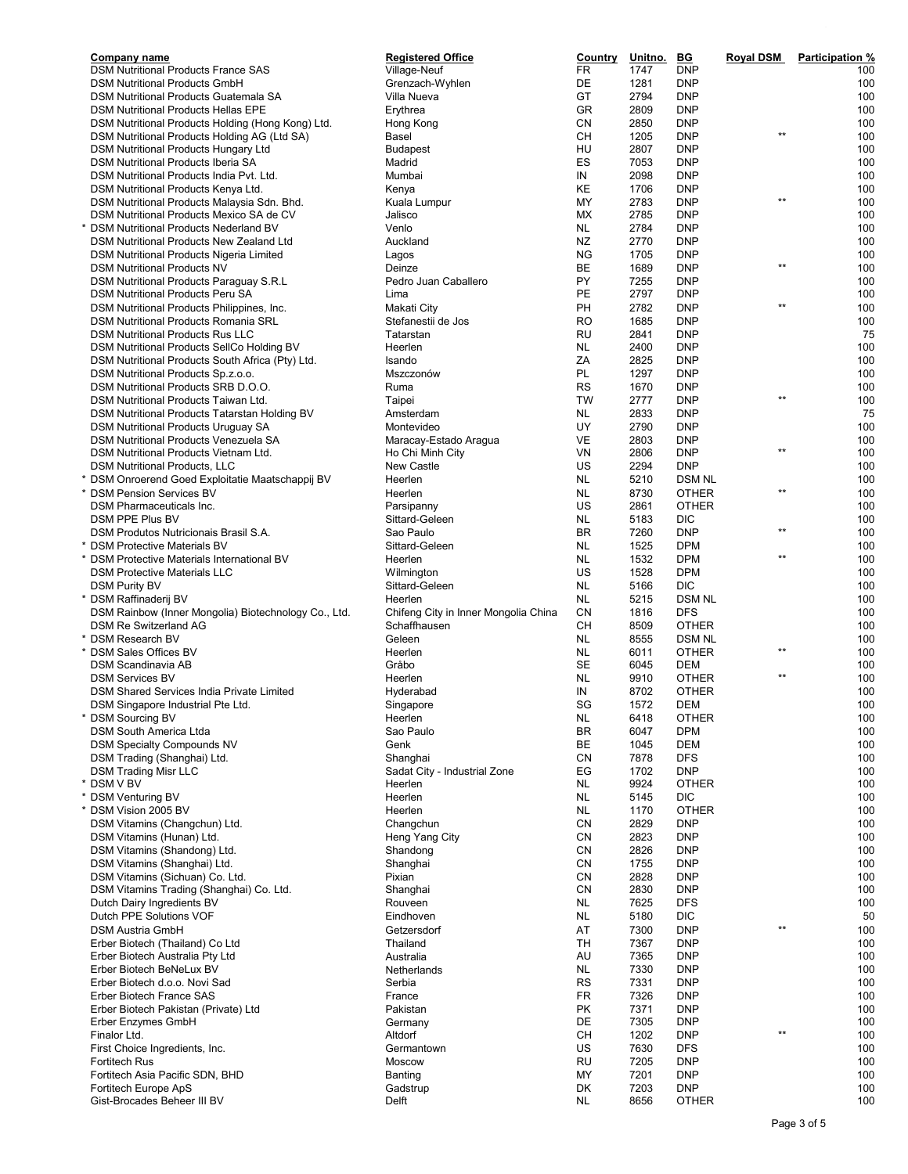| <b>Company name</b>                                         | <b>Registered Office</b>             | <b>Country</b> | Unitno.      | <u>BG</u>                | <b>Royal DSM</b> | <b>Participation %</b> |
|-------------------------------------------------------------|--------------------------------------|----------------|--------------|--------------------------|------------------|------------------------|
| <b>DSM Nutritional Products France SAS</b>                  | Village-Neuf                         | FR             | 1747         | <b>DNP</b>               |                  | 100                    |
| <b>DSM Nutritional Products GmbH</b>                        | Grenzach-Wyhlen                      | DE             | 1281         | DNP                      |                  | 100                    |
| DSM Nutritional Products Guatemala SA                       | Villa Nueva                          | GT             | 2794         | DNP                      |                  | 100                    |
| <b>DSM Nutritional Products Hellas EPE</b>                  | Erythrea                             | GR             | 2809         | <b>DNP</b>               |                  | 100                    |
| DSM Nutritional Products Holding (Hong Kong) Ltd.           | Hong Kong                            | CN             | 2850         | <b>DNP</b>               |                  | 100                    |
| DSM Nutritional Products Holding AG (Ltd SA)                | Basel                                | <b>CH</b>      | 1205         | <b>DNP</b>               | $\star\star$     | 100                    |
| <b>DSM Nutritional Products Hungary Ltd</b>                 | <b>Budapest</b>                      | HU             | 2807         | <b>DNP</b>               |                  | 100                    |
| DSM Nutritional Products Iberia SA                          | Madrid                               | ES             | 7053         | <b>DNP</b>               |                  | 100                    |
| DSM Nutritional Products India Pvt. Ltd.                    | Mumbai                               | IN             | 2098         | <b>DNP</b>               |                  | 100                    |
| DSM Nutritional Products Kenya Ltd.                         | Kenya                                | KE             | 1706         | <b>DNP</b>               | $**$             | 100                    |
| DSM Nutritional Products Malaysia Sdn. Bhd.                 | Kuala Lumpur                         | MY             | 2783         | <b>DNP</b>               |                  | 100                    |
| DSM Nutritional Products Mexico SA de CV                    | Jalisco                              | МX             | 2785         | <b>DNP</b>               |                  | 100                    |
| DSM Nutritional Products Nederland BV                       | Venlo                                | NL.            | 2784         | DNP                      |                  | 100                    |
| DSM Nutritional Products New Zealand Ltd                    | Auckland                             | NZ             | 2770         | <b>DNP</b>               |                  | 100                    |
| DSM Nutritional Products Nigeria Limited                    | Lagos                                | ΝG             | 1705         | DNP                      |                  | 100                    |
| <b>DSM Nutritional Products NV</b>                          | Deinze                               | BE             | 1689         | <b>DNP</b>               | $***$            | 100                    |
| DSM Nutritional Products Paraguay S.R.L                     | Pedro Juan Caballero                 | <b>PY</b>      | 7255         | <b>DNP</b>               |                  | 100                    |
| DSM Nutritional Products Peru SA                            | Lima                                 | PE             | 2797         | <b>DNP</b>               |                  | 100                    |
| DSM Nutritional Products Philippines, Inc.                  | Makati City                          | PH             | 2782         | <b>DNP</b>               | $***$            | 100                    |
| DSM Nutritional Products Romania SRL                        | Stefanestii de Jos                   | <b>RO</b>      | 1685         | <b>DNP</b>               |                  | 100                    |
| DSM Nutritional Products Rus LLC                            | Tatarstan                            | RU             | 2841         | DNP                      |                  | 75                     |
| DSM Nutritional Products SellCo Holding BV                  | Heerlen                              | <b>NL</b>      | 2400         | <b>DNP</b>               |                  | 100                    |
| DSM Nutritional Products South Africa (Pty) Ltd.            | Isando                               | ZA             | 2825         | DNP                      |                  | 100                    |
| DSM Nutritional Products Sp.z.o.o.                          | Mszczonów                            | PL             | 1297         | <b>DNP</b>               |                  | 100                    |
| DSM Nutritional Products SRB D.O.O.                         | Ruma                                 | <b>RS</b>      | 1670         | <b>DNP</b>               |                  | 100                    |
| DSM Nutritional Products Taiwan Ltd.                        | Taipei                               | <b>TW</b>      | 2777         | <b>DNP</b>               | $***$            | 100                    |
| DSM Nutritional Products Tatarstan Holding BV               | Amsterdam                            | <b>NL</b>      | 2833         | <b>DNP</b>               |                  | 75                     |
| <b>DSM Nutritional Products Uruguay SA</b>                  | Montevideo                           | UY             | 2790         | <b>DNP</b>               |                  | 100                    |
| DSM Nutritional Products Venezuela SA                       | Maracay-Estado Aragua                | VE             | 2803         | <b>DNP</b>               |                  | 100                    |
| DSM Nutritional Products Vietnam Ltd.                       | Ho Chi Minh City                     | VN             | 2806         | <b>DNP</b>               | $***$            | 100                    |
| <b>DSM Nutritional Products, LLC</b>                        | <b>New Castle</b>                    | US             | 2294         | <b>DNP</b>               |                  | 100                    |
| DSM Onroerend Goed Exploitatie Maatschappij BV              | Heerlen                              | <b>NL</b>      | 5210         | <b>DSM NL</b>            |                  | 100                    |
| <b>DSM Pension Services BV</b>                              | Heerlen                              | NL.            | 8730         | <b>OTHER</b>             | $***$            | 100                    |
| DSM Pharmaceuticals Inc.                                    | Parsipanny                           | US             | 2861         | <b>OTHER</b>             |                  | 100                    |
| DSM PPE Plus BV                                             | Sittard-Geleen                       | NL             | 5183         | DIC                      |                  | 100                    |
| DSM Produtos Nutricionais Brasil S.A.                       | Sao Paulo                            | <b>BR</b>      | 7260         | <b>DNP</b>               | $***$            | 100                    |
| <b>DSM Protective Materials BV</b>                          | Sittard-Geleen                       | NL.            | 1525         | <b>DPM</b>               |                  | 100                    |
| DSM Protective Materials International BV                   | Heerlen                              | NL             | 1532         | <b>DPM</b>               | $^{\star\star}$  | 100                    |
| <b>DSM Protective Materials LLC</b>                         | Wilmington                           | US             | 1528         | <b>DPM</b>               |                  | 100                    |
| <b>DSM Purity BV</b>                                        | Sittard-Geleen                       | <b>NL</b>      | 5166         | DIC                      |                  | 100                    |
| DSM Raffinaderij BV                                         | Heerlen                              | NL.            | 5215         | <b>DSM NL</b>            |                  | 100                    |
| DSM Rainbow (Inner Mongolia) Biotechnology Co., Ltd.        | Chifeng City in Inner Mongolia China | <b>CN</b>      | 1816         | DFS                      |                  | 100                    |
| <b>DSM Re Switzerland AG</b>                                | Schaffhausen                         | CН             | 8509         | <b>OTHER</b>             |                  | 100                    |
| <b>DSM Research BV</b>                                      | Geleen                               | <b>NL</b>      | 8555         | <b>DSM NL</b>            |                  | 100                    |
| <b>DSM Sales Offices BV</b>                                 | Heerlen                              | <b>NL</b>      | 6011         | <b>OTHER</b>             | $\star\star$     | 100                    |
| DSM Scandinavia AB                                          | Gråbo                                | <b>SE</b>      | 6045         | DEM                      |                  | 100                    |
| <b>DSM Services BV</b>                                      | Heerlen                              | <b>NL</b>      | 9910         | OTHER                    | $***$            | 100                    |
| DSM Shared Services India Private Limited                   | Hyderabad                            | IN             | 8702         | OTHER                    |                  | 100                    |
| DSM Singapore Industrial Pte Ltd.                           | Singapore                            | SG             | 1572         | DEM                      |                  | 100                    |
| <b>DSM Sourcing BV</b>                                      | Heerlen                              | NL             | 6418         | <b>OTHER</b>             |                  | 100                    |
| DSM South America Ltda                                      | Sao Paulo                            | BR             | 6047         | <b>DPM</b>               |                  | 100                    |
| <b>DSM Specialty Compounds NV</b>                           | Genk                                 | BE             | 1045         | DEM                      |                  | 100                    |
| DSM Trading (Shanghai) Ltd.                                 | Shanghai                             | CN             | 7878         | <b>DFS</b>               |                  | 100                    |
| <b>DSM Trading Misr LLC</b>                                 | Sadat City - Industrial Zone         | EG             | 1702         | <b>DNP</b>               |                  | 100                    |
| DSM V BV                                                    | Heerlen                              | NL             | 9924         | <b>OTHER</b>             |                  | 100                    |
| <b>DSM Venturing BV</b>                                     | Heerlen                              | NL             | 5145         | DIC                      |                  | 100                    |
| DSM Vision 2005 BV                                          | Heerlen                              | NL             | 1170         | <b>OTHER</b>             |                  | 100                    |
| DSM Vitamins (Changchun) Ltd.                               | Changchun                            | CN             | 2829         | <b>DNP</b>               |                  | 100                    |
| DSM Vitamins (Hunan) Ltd.                                   | Heng Yang City                       | CN             | 2823         | <b>DNP</b>               |                  | 100                    |
| DSM Vitamins (Shandong) Ltd.                                | Shandong                             | CN             | 2826         | DNP                      |                  | 100                    |
| DSM Vitamins (Shanghai) Ltd.                                | Shanghai                             | CN             | 1755         | DNP                      |                  | 100                    |
| DSM Vitamins (Sichuan) Co. Ltd.                             | Pixian                               | CN             | 2828         | <b>DNP</b>               |                  | 100                    |
| DSM Vitamins Trading (Shanghai) Co. Ltd.                    | Shanghai                             | CN             | 2830         | <b>DNP</b>               |                  | 100                    |
| Dutch Dairy Ingredients BV                                  | Rouveen                              | NL             | 7625         | <b>DFS</b>               |                  | 100                    |
| Dutch PPE Solutions VOF                                     | Eindhoven                            | NL             | 5180         | DIC                      |                  | 50                     |
| <b>DSM Austria GmbH</b>                                     | Getzersdorf                          | AT             | 7300         | <b>DNP</b>               | $\star\star$     | 100                    |
|                                                             | Thailand                             | TH             |              | <b>DNP</b>               |                  | 100                    |
| Erber Biotech (Thailand) Co Ltd                             |                                      | AU             | 7367<br>7365 |                          |                  | 100                    |
| Erber Biotech Australia Pty Ltd<br>Erber Biotech BeNeLux BV | Australia                            | NL             | 7330         | <b>DNP</b><br><b>DNP</b> |                  | 100                    |
|                                                             | Netherlands                          | <b>RS</b>      | 7331         | <b>DNP</b>               |                  | 100                    |
| Erber Biotech d.o.o. Novi Sad                               | Serbia                               | FR             | 7326         |                          |                  | 100                    |
| Erber Biotech France SAS                                    | France                               | <b>PK</b>      |              | <b>DNP</b>               |                  |                        |
| Erber Biotech Pakistan (Private) Ltd                        | Pakistan                             |                | 7371         | <b>DNP</b>               |                  | 100                    |
| Erber Enzymes GmbH                                          | Germany<br>Altdorf                   | DE             | 7305         | <b>DNP</b>               | $^{\star\star}$  | 100                    |
| Finalor Ltd.                                                |                                      | CH             | 1202         | <b>DNP</b>               |                  | 100                    |
| First Choice Ingredients, Inc.                              | Germantown                           | US             | 7630         | DFS                      |                  | 100                    |
| <b>Fortitech Rus</b>                                        | Moscow                               | RU             | 7205         | <b>DNP</b>               |                  | 100                    |
| Fortitech Asia Pacific SDN, BHD                             | Banting                              | MY             | 7201         | <b>DNP</b>               |                  | 100                    |
| Fortitech Europe ApS                                        | Gadstrup                             | DK             | 7203         | <b>DNP</b>               |                  | 100                    |
| Gist-Brocades Beheer III BV                                 | Delft                                | NL             | 8656         | <b>OTHER</b>             |                  | 100                    |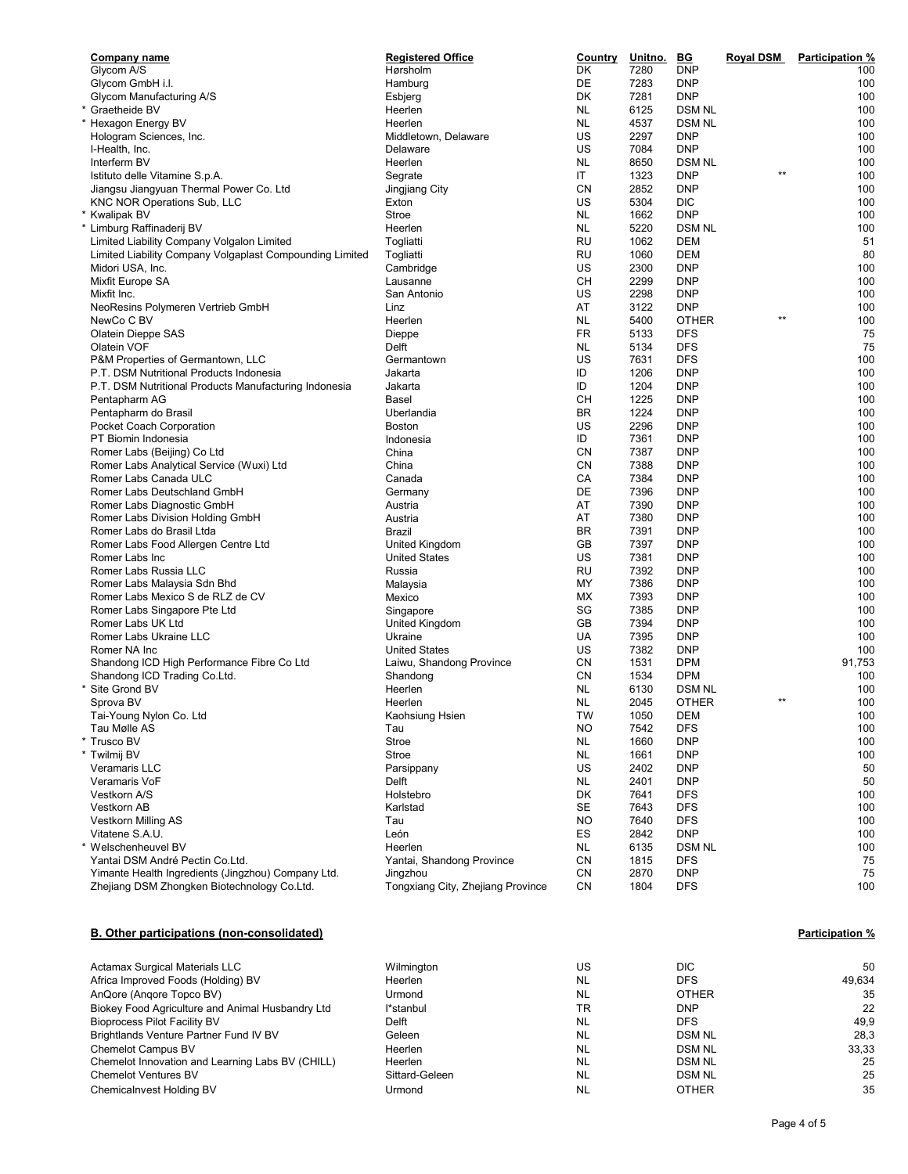| Company name                                             | <b>Registered Office</b>          | Country   | Unitno. | B G           | <b>Royal DSM</b> | <b>Participation %</b> |
|----------------------------------------------------------|-----------------------------------|-----------|---------|---------------|------------------|------------------------|
| Glycom A/S                                               | Hørsholm                          | DK        | 7280    | <b>DNP</b>    |                  | 100                    |
| Glycom GmbH i.l.                                         | Hamburg                           | DE        | 7283    | <b>DNP</b>    |                  | 100                    |
| Glycom Manufacturing A/S                                 | Esbjerg                           | DK        | 7281    | <b>DNP</b>    |                  | 100                    |
| Graetheide BV                                            | Heerlen                           | <b>NL</b> | 6125    | <b>DSM NL</b> |                  | 100                    |
| Hexagon Energy BV                                        | Heerlen                           | <b>NL</b> | 4537    | <b>DSM NL</b> |                  | 100                    |
| Hologram Sciences, Inc.                                  | Middletown, Delaware              | US        | 2297    | <b>DNP</b>    |                  | 100                    |
| I-Health, Inc.                                           | Delaware                          | US        | 7084    | <b>DNP</b>    |                  | 100                    |
| Interferm BV                                             | Heerlen                           | <b>NL</b> | 8650    | <b>DSM NL</b> |                  | 100                    |
| Istituto delle Vitamine S.p.A.                           | Segrate                           | IT        | 1323    | <b>DNP</b>    | $**$             | 100                    |
|                                                          |                                   | CN        | 2852    | <b>DNP</b>    |                  | 100                    |
| Jiangsu Jiangyuan Thermal Power Co. Ltd                  | Jingjiang City                    |           |         |               |                  |                        |
| <b>KNC NOR Operations Sub, LLC</b>                       | Exton                             | US        | 5304    | <b>DIC</b>    |                  | 100                    |
| * Kwalipak BV                                            | Stroe                             | NL.       | 1662    | <b>DNP</b>    |                  | 100                    |
| * Limburg Raffinaderij BV                                | Heerlen                           | <b>NL</b> | 5220    | <b>DSM NL</b> |                  | 100                    |
| Limited Liability Company Volgalon Limited               | Togliatti                         | RU        | 1062    | DEM           |                  | 51                     |
| Limited Liability Company Volgaplast Compounding Limited | Togliatti                         | RU        | 1060    | <b>DEM</b>    |                  | 80                     |
| Midori USA, Inc.                                         | Cambridge                         | US        | 2300    | <b>DNP</b>    |                  | 100                    |
| Mixfit Europe SA                                         | Lausanne                          | CH        | 2299    | <b>DNP</b>    |                  | 100                    |
| Mixfit Inc.                                              | San Antonio                       | US        | 2298    | <b>DNP</b>    |                  | 100                    |
| NeoResins Polymeren Vertrieb GmbH                        | Linz                              | AT        | 3122    | <b>DNP</b>    |                  | 100                    |
| NewCo C BV                                               | Heerlen                           | <b>NL</b> | 5400    | <b>OTHER</b>  | $**$             | 100                    |
| <b>Olatein Dieppe SAS</b>                                | Dieppe                            | FR        | 5133    | <b>DFS</b>    |                  | 75                     |
| Olatein VOF                                              | Delft                             | <b>NL</b> | 5134    | <b>DFS</b>    |                  | 75                     |
| P&M Properties of Germantown, LLC                        | Germantown                        | US        | 7631    | <b>DFS</b>    |                  | 100                    |
| P.T. DSM Nutritional Products Indonesia                  | Jakarta                           | ID        | 1206    | <b>DNP</b>    |                  | 100                    |
|                                                          |                                   | ID        |         | <b>DNP</b>    |                  | 100                    |
| P.T. DSM Nutritional Products Manufacturing Indonesia    | Jakarta                           |           | 1204    |               |                  |                        |
| Pentapharm AG                                            | Basel                             | CН        | 1225    | <b>DNP</b>    |                  | 100                    |
| Pentapharm do Brasil                                     | Uberlandia                        | <b>BR</b> | 1224    | <b>DNP</b>    |                  | 100                    |
| Pocket Coach Corporation                                 | Boston                            | US        | 2296    | <b>DNP</b>    |                  | 100                    |
| PT Biomin Indonesia                                      | Indonesia                         | ID        | 7361    | <b>DNP</b>    |                  | 100                    |
| Romer Labs (Beijing) Co Ltd                              | China                             | CN        | 7387    | <b>DNP</b>    |                  | 100                    |
| Romer Labs Analytical Service (Wuxi) Ltd                 | China                             | CN        | 7388    | <b>DNP</b>    |                  | 100                    |
| Romer Labs Canada ULC                                    | Canada                            | CA        | 7384    | <b>DNP</b>    |                  | 100                    |
| Romer Labs Deutschland GmbH                              | Germany                           | DE        | 7396    | <b>DNP</b>    |                  | 100                    |
| Romer Labs Diagnostic GmbH                               | Austria                           | AT        | 7390    | <b>DNP</b>    |                  | 100                    |
| Romer Labs Division Holding GmbH                         | Austria                           | AT        | 7380    | <b>DNP</b>    |                  | 100                    |
| Romer Labs do Brasil Ltda                                | Brazil                            | <b>BR</b> | 7391    | <b>DNP</b>    |                  | 100                    |
| Romer Labs Food Allergen Centre Ltd                      | United Kingdom                    | GB        | 7397    | <b>DNP</b>    |                  | 100                    |
| Romer Labs Inc                                           | <b>United States</b>              | US        | 7381    | <b>DNP</b>    |                  | 100                    |
| Romer Labs Russia LLC                                    | Russia                            | RU        | 7392    | <b>DNP</b>    |                  | 100                    |
| Romer Labs Malaysia Sdn Bhd                              | Malaysia                          | MY        | 7386    | <b>DNP</b>    |                  | 100                    |
| Romer Labs Mexico S de RLZ de CV                         | Mexico                            | МX        | 7393    | <b>DNP</b>    |                  | 100                    |
| Romer Labs Singapore Pte Ltd                             | Singapore                         | SG        | 7385    | <b>DNP</b>    |                  | 100                    |
| Romer Labs UK Ltd                                        |                                   | GB        | 7394    | <b>DNP</b>    |                  | 100                    |
|                                                          | United Kingdom                    |           |         |               |                  |                        |
| Romer Labs Ukraine LLC                                   | Ukraine                           | UA        | 7395    | <b>DNP</b>    |                  | 100                    |
| Romer NA Inc                                             | <b>United States</b>              | US        | 7382    | <b>DNP</b>    |                  | 100                    |
| Shandong ICD High Performance Fibre Co Ltd               | Laiwu, Shandong Province          | <b>CN</b> | 1531    | <b>DPM</b>    |                  | 91,753                 |
| Shandong ICD Trading Co.Ltd.                             | Shandong                          | <b>CN</b> | 1534    | <b>DPM</b>    |                  | 100                    |
| Site Grond BV                                            | Heerlen                           | NL        | 6130    | <b>DSM NL</b> |                  | 100                    |
| Sprova BV                                                | Heerlen                           | NL        | 2045    | <b>OTHER</b>  | $\star\star$     | 100                    |
| Tai-Young Nylon Co. Ltd                                  | Kaohsiung Hsien                   | TW        | 1050    | DEM           |                  | 100                    |
| Tau Mølle AS                                             | Tau                               | <b>NO</b> | 7542    | <b>DFS</b>    |                  | 100                    |
| * Trusco BV                                              | Stroe                             | <b>NL</b> | 1660    | <b>DNP</b>    |                  | 100                    |
| * Twilmij BV                                             | Stroe                             | <b>NL</b> | 1661    | <b>DNP</b>    |                  | 100                    |
| Veramaris LLC                                            | Parsippany                        | US        | 2402    | <b>DNP</b>    |                  | 50                     |
| Veramaris VoF                                            | Delft                             | <b>NL</b> | 2401    | <b>DNP</b>    |                  | 50                     |
| Vestkorn A/S                                             | Holstebro                         | DK        | 7641    | <b>DFS</b>    |                  | 100                    |
| Vestkorn AB                                              | Karlstad                          | SE        | 7643    | <b>DFS</b>    |                  | 100                    |
| Vestkorn Milling AS                                      | Tau                               | <b>NO</b> | 7640    | <b>DFS</b>    |                  | 100                    |
| Vitatene S.A.U.                                          | León                              | ES        | 2842    | <b>DNP</b>    |                  | 100                    |
| * Welschenheuvel BV                                      | Heerlen                           |           |         |               |                  |                        |
|                                                          |                                   | NL.       | 6135    | <b>DSM NL</b> |                  | 100                    |
| Yantai DSM André Pectin Co.Ltd.                          | Yantai, Shandong Province         | CN        | 1815    | <b>DFS</b>    |                  | 75                     |
| Yimante Health Ingredients (Jingzhou) Company Ltd.       | Jingzhou                          | CN        | 2870    | <b>DNP</b>    |                  | 75                     |
| Zhejiang DSM Zhongken Biotechnology Co.Ltd.              | Tongxiang City, Zhejiang Province | CN        | 1804    | <b>DFS</b>    |                  | 100                    |

## B. Other participations (non-consolidated) example and the set of the example of the Participation of Participation  $\%$

| <b>Actamax Surgical Materials LLC</b>            | Wilmington     | US        | <b>DIC</b>    | 50     |
|--------------------------------------------------|----------------|-----------|---------------|--------|
|                                                  |                |           |               |        |
| Africa Improved Foods (Holding) BV               | Heerlen        | NL        | <b>DFS</b>    | 49.634 |
| AnQore (Angore Topco BV)                         | Urmond         | NL        | <b>OTHER</b>  | 35     |
| Biokey Food Agriculture and Animal Husbandry Ltd | l*stanbul      | TR        | <b>DNP</b>    | 22     |
| <b>Bioprocess Pilot Facility BV</b>              | Delft          | NL        | <b>DFS</b>    | 49.9   |
| Brightlands Venture Partner Fund IV BV           | Geleen         | NL        | <b>DSM NL</b> | 28.3   |
| <b>Chemelot Campus BV</b>                        | Heerlen        | <b>NL</b> | <b>DSM NL</b> | 33.33  |
| Chemelot Innovation and Learning Labs BV (CHILL) | <b>Heerlen</b> | NL        | <b>DSM NL</b> | 25     |
| <b>Chemelot Ventures BV</b>                      | Sittard-Geleen | NL        | <b>DSM NL</b> | 25     |
| Chemicalnvest Holding BV                         | Urmond         | <b>NL</b> | <b>OTHER</b>  | 35     |